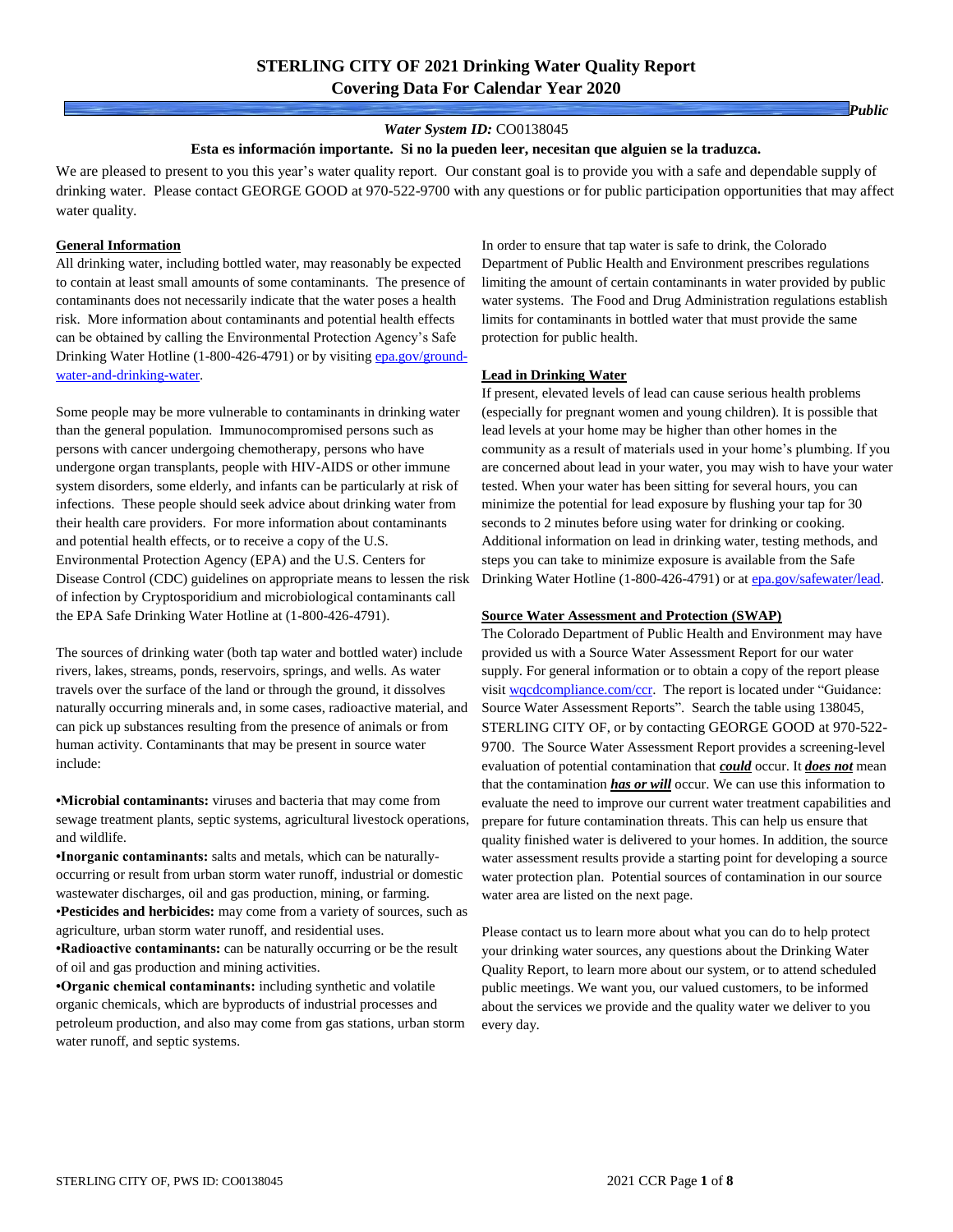### *Water System ID:* CO0138045

#### **Esta es información importante. Si no la pueden leer, necesitan que alguien se la traduzca.**

We are pleased to present to you this year's water quality report. Our constant goal is to provide you with a safe and dependable supply of drinking water. Please contact GEORGE GOOD at 970-522-9700 with any questions or for public participation opportunities that may affect water quality.

### **General Information**

All drinking water, including bottled water, may reasonably be expected to contain at least small amounts of some contaminants. The presence of contaminants does not necessarily indicate that the water poses a health risk. More information about contaminants and potential health effects can be obtained by calling the Environmental Protection Agency's Safe Drinking Water Hotline (1-800-426-4791) or by visiting [epa.gov/ground](https://www.epa.gov/ground-water-and-drinking-water)[water-and-drinking-water.](https://www.epa.gov/ground-water-and-drinking-water)

Some people may be more vulnerable to contaminants in drinking water than the general population. Immunocompromised persons such as persons with cancer undergoing chemotherapy, persons who have undergone organ transplants, people with HIV-AIDS or other immune system disorders, some elderly, and infants can be particularly at risk of infections. These people should seek advice about drinking water from their health care providers. For more information about contaminants and potential health effects, or to receive a copy of the U.S. Environmental Protection Agency (EPA) and the U.S. Centers for Disease Control (CDC) guidelines on appropriate means to lessen the risk of infection by Cryptosporidium and microbiological contaminants call the EPA Safe Drinking Water Hotline at (1-800-426-4791).

The sources of drinking water (both tap water and bottled water) include rivers, lakes, streams, ponds, reservoirs, springs, and wells. As water travels over the surface of the land or through the ground, it dissolves naturally occurring minerals and, in some cases, radioactive material, and can pick up substances resulting from the presence of animals or from human activity. Contaminants that may be present in source water include:

**•Microbial contaminants:** viruses and bacteria that may come from sewage treatment plants, septic systems, agricultural livestock operations, and wildlife.

**•Inorganic contaminants:** salts and metals, which can be naturallyoccurring or result from urban storm water runoff, industrial or domestic wastewater discharges, oil and gas production, mining, or farming. •**Pesticides and herbicides:** may come from a variety of sources, such as agriculture, urban storm water runoff, and residential uses.

**•Radioactive contaminants:** can be naturally occurring or be the result of oil and gas production and mining activities.

**•Organic chemical contaminants:** including synthetic and volatile organic chemicals, which are byproducts of industrial processes and petroleum production, and also may come from gas stations, urban storm water runoff, and septic systems.

In order to ensure that tap water is safe to drink, the Colorado Department of Public Health and Environment prescribes regulations limiting the amount of certain contaminants in water provided by public water systems. The Food and Drug Administration regulations establish limits for contaminants in bottled water that must provide the same protection for public health.

### **Lead in Drinking Water**

If present, elevated levels of lead can cause serious health problems (especially for pregnant women and young children). It is possible that lead levels at your home may be higher than other homes in the community as a result of materials used in your home's plumbing. If you are concerned about lead in your water, you may wish to have your water tested. When your water has been sitting for several hours, you can minimize the potential for lead exposure by flushing your tap for 30 seconds to 2 minutes before using water for drinking or cooking. Additional information on lead in drinking water, testing methods, and steps you can take to minimize exposure is available from the Safe Drinking Water Hotline (1-800-426-4791) or at [epa.gov/safewater/lead.](http://www.epa.gov/safewater/lead)

#### **Source Water Assessment and Protection (SWAP)**

The Colorado Department of Public Health and Environment may have provided us with a Source Water Assessment Report for our water supply. For general information or to obtain a copy of the report please visit [wqcdcompliance.com/ccr.](https://wqcdcompliance.com/ccr) The report is located under "Guidance: Source Water Assessment Reports". Search the table using 138045, STERLING CITY OF, or by contacting GEORGE GOOD at 970-522- 9700. The Source Water Assessment Report provides a screening-level evaluation of potential contamination that *could* occur. It *does not* mean that the contamination *has or will* occur. We can use this information to evaluate the need to improve our current water treatment capabilities and prepare for future contamination threats. This can help us ensure that quality finished water is delivered to your homes. In addition, the source water assessment results provide a starting point for developing a source water protection plan. Potential sources of contamination in our source water area are listed on the next page.

Please contact us to learn more about what you can do to help protect your drinking water sources, any questions about the Drinking Water Quality Report, to learn more about our system, or to attend scheduled public meetings. We want you, our valued customers, to be informed about the services we provide and the quality water we deliver to you every day.

*Public*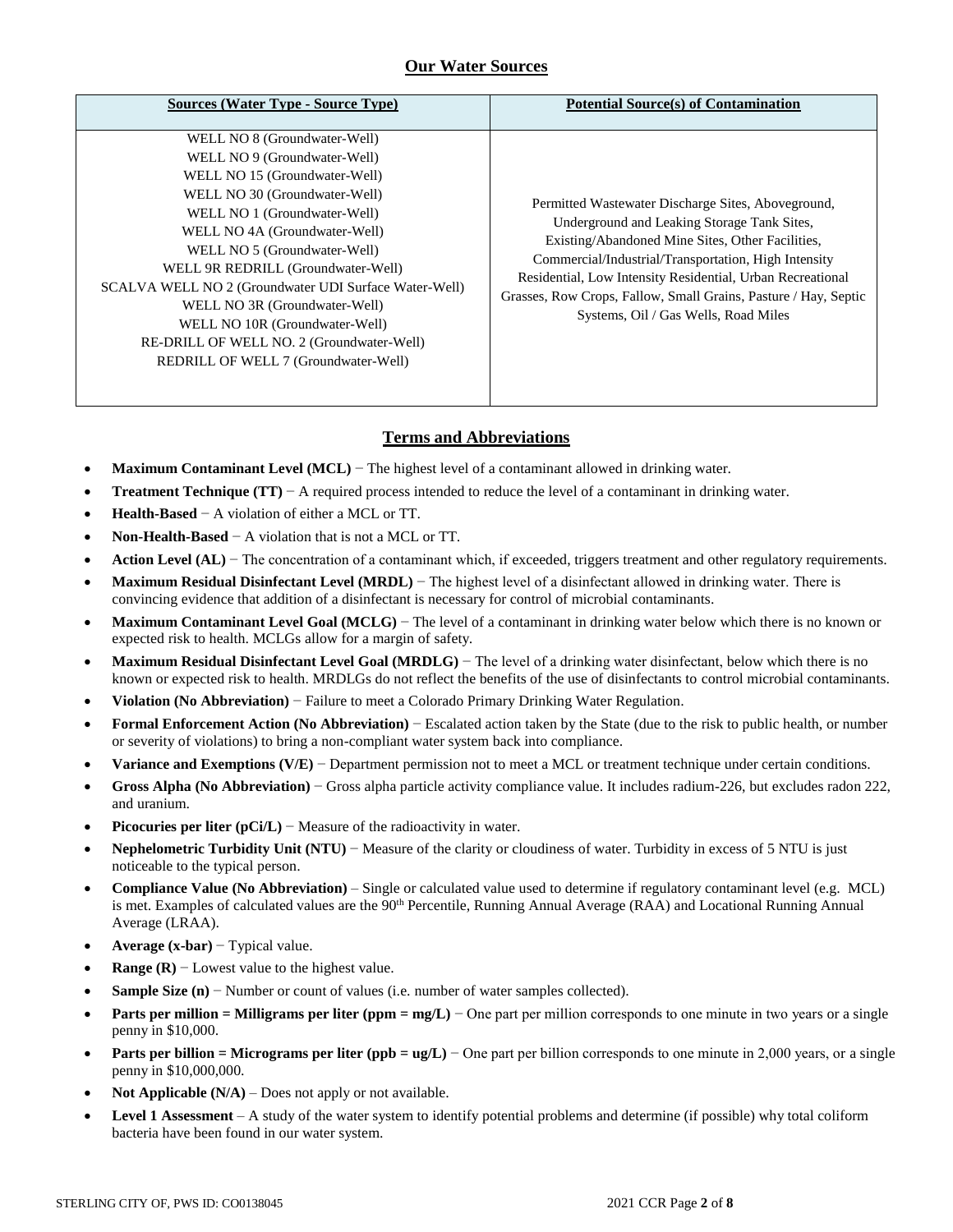## **Our Water Sources**

| Sources (Water Type - Source Type)                                                                                                                                                                                                                                                                                                                                                                                                                                                     | <b>Potential Source(s) of Contamination</b>                                                                                                                                                                                                                                                                                                                                            |
|----------------------------------------------------------------------------------------------------------------------------------------------------------------------------------------------------------------------------------------------------------------------------------------------------------------------------------------------------------------------------------------------------------------------------------------------------------------------------------------|----------------------------------------------------------------------------------------------------------------------------------------------------------------------------------------------------------------------------------------------------------------------------------------------------------------------------------------------------------------------------------------|
| WELL NO 8 (Groundwater-Well)<br>WELL NO 9 (Groundwater-Well)<br>WELL NO 15 (Groundwater-Well)<br>WELL NO 30 (Groundwater-Well)<br>WELL NO 1 (Groundwater-Well)<br>WELL NO 4A (Groundwater-Well)<br>WELL NO 5 (Groundwater-Well)<br>WELL 9R REDRILL (Groundwater-Well)<br>SCALVA WELL NO 2 (Groundwater UDI Surface Water-Well)<br>WELL NO 3R (Groundwater-Well)<br>WELL NO 10R (Groundwater-Well)<br>RE-DRILL OF WELL NO. 2 (Groundwater-Well)<br>REDRILL OF WELL 7 (Groundwater-Well) | Permitted Wastewater Discharge Sites, Aboveground,<br>Underground and Leaking Storage Tank Sites.<br>Existing/Abandoned Mine Sites, Other Facilities,<br>Commercial/Industrial/Transportation, High Intensity<br>Residential, Low Intensity Residential, Urban Recreational<br>Grasses, Row Crops, Fallow, Small Grains, Pasture / Hay, Septic<br>Systems, Oil / Gas Wells, Road Miles |

# **Terms and Abbreviations**

- **Maximum Contaminant Level (MCL)** − The highest level of a contaminant allowed in drinking water.
- **Treatment Technique (TT)** − A required process intended to reduce the level of a contaminant in drinking water.
- **Health-Based** − A violation of either a MCL or TT.
- **Non-Health-Based** − A violation that is not a MCL or TT.
- Action Level (AL) − The concentration of a contaminant which, if exceeded, triggers treatment and other regulatory requirements.
- **Maximum Residual Disinfectant Level (MRDL)** − The highest level of a disinfectant allowed in drinking water. There is convincing evidence that addition of a disinfectant is necessary for control of microbial contaminants.
- **Maximum Contaminant Level Goal (MCLG)** − The level of a contaminant in drinking water below which there is no known or expected risk to health. MCLGs allow for a margin of safety.
- **Maximum Residual Disinfectant Level Goal (MRDLG)** − The level of a drinking water disinfectant, below which there is no known or expected risk to health. MRDLGs do not reflect the benefits of the use of disinfectants to control microbial contaminants.
- **Violation (No Abbreviation)** − Failure to meet a Colorado Primary Drinking Water Regulation.
- **Formal Enforcement Action (No Abbreviation)** − Escalated action taken by the State (due to the risk to public health, or number or severity of violations) to bring a non-compliant water system back into compliance.
- **Variance and Exemptions (V/E)** − Department permission not to meet a MCL or treatment technique under certain conditions.
- **Gross Alpha (No Abbreviation)** − Gross alpha particle activity compliance value. It includes radium-226, but excludes radon 222, and uranium.
- **Picocuries per liter (pCi/L)** − Measure of the radioactivity in water.
- **Nephelometric Turbidity Unit (NTU)** − Measure of the clarity or cloudiness of water. Turbidity in excess of 5 NTU is just noticeable to the typical person.
- **Compliance Value (No Abbreviation)** Single or calculated value used to determine if regulatory contaminant level (e.g. MCL) is met. Examples of calculated values are the 90<sup>th</sup> Percentile, Running Annual Average (RAA) and Locational Running Annual Average (LRAA).
- **Average (x-bar)** − Typical value.
- **Range (R)**  $-$  Lowest value to the highest value.
- **Sample Size (n)** − Number or count of values (i.e. number of water samples collected).
- **Parts per million = Milligrams per liter (ppm = mg/L)** − One part per million corresponds to one minute in two years or a single penny in \$10,000.
- **Parts per billion = Micrograms per liter (ppb = ug/L)** − One part per billion corresponds to one minute in 2,000 years, or a single penny in \$10,000,000.
- **Not Applicable (N/A)** Does not apply or not available.
- **Level 1 Assessment** A study of the water system to identify potential problems and determine (if possible) why total coliform bacteria have been found in our water system.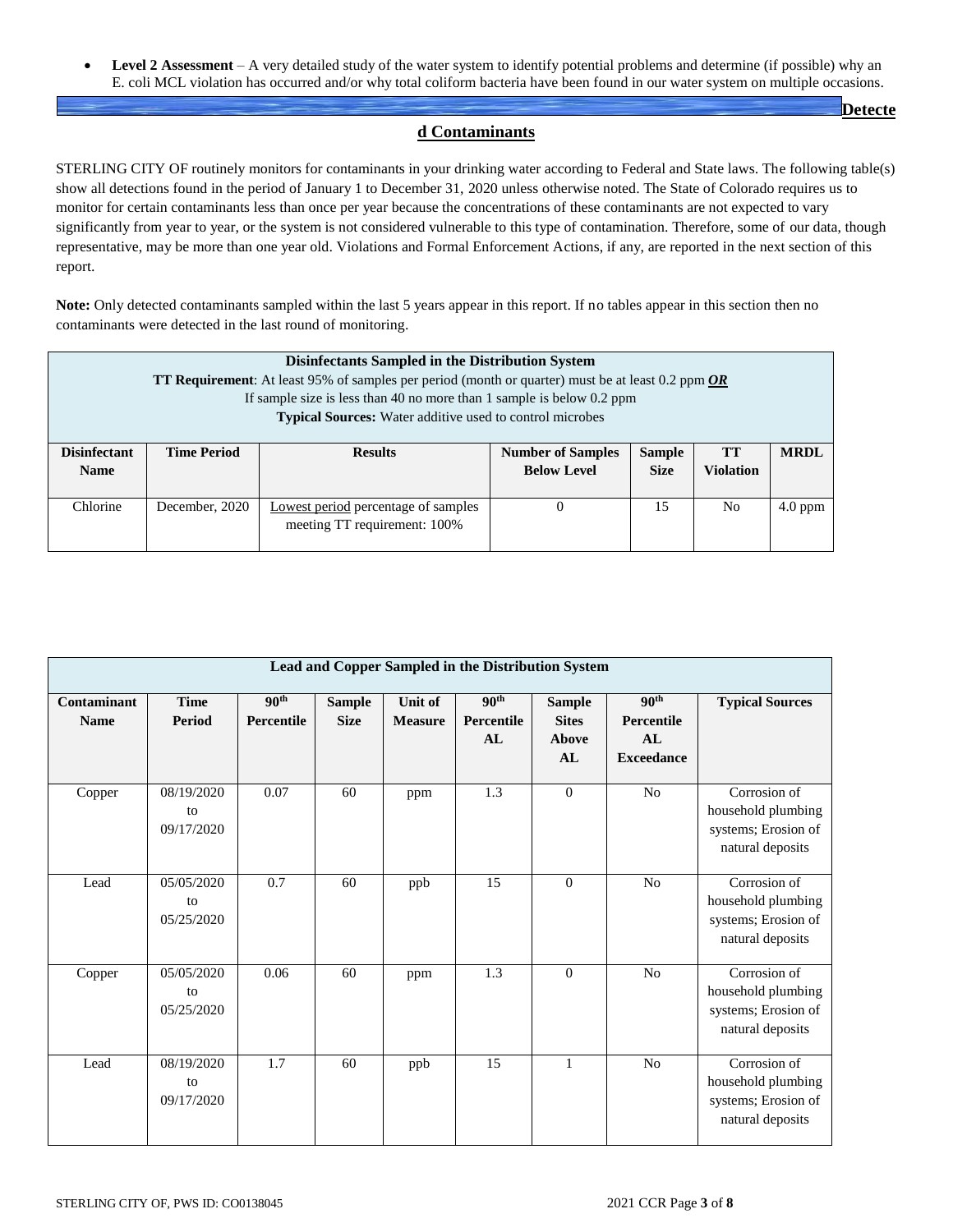**Level 2 Assessment** – A very detailed study of the water system to identify potential problems and determine (if possible) why an E. coli MCL violation has occurred and/or why total coliform bacteria have been found in our water system on multiple occasions.

**Detecte**

## **d Contaminants**

STERLING CITY OF routinely monitors for contaminants in your drinking water according to Federal and State laws. The following table(s) show all detections found in the period of January 1 to December 31, 2020 unless otherwise noted. The State of Colorado requires us to monitor for certain contaminants less than once per year because the concentrations of these contaminants are not expected to vary significantly from year to year, or the system is not considered vulnerable to this type of contamination. Therefore, some of our data, though representative, may be more than one year old. Violations and Formal Enforcement Actions, if any, are reported in the next section of this report.

**Note:** Only detected contaminants sampled within the last 5 years appear in this report. If no tables appear in this section then no contaminants were detected in the last round of monitoring.

|                                                                                                   | <b>Disinfectants Sampled in the Distribution System</b>                                                                                    |                                                                                         |          |    |                |           |  |  |  |  |
|---------------------------------------------------------------------------------------------------|--------------------------------------------------------------------------------------------------------------------------------------------|-----------------------------------------------------------------------------------------|----------|----|----------------|-----------|--|--|--|--|
| TT Requirement: At least 95% of samples per period (month or quarter) must be at least 0.2 ppm OR |                                                                                                                                            |                                                                                         |          |    |                |           |  |  |  |  |
|                                                                                                   | If sample size is less than 40 no more than 1 sample is below $0.2$ ppm<br><b>Typical Sources:</b> Water additive used to control microbes |                                                                                         |          |    |                |           |  |  |  |  |
|                                                                                                   |                                                                                                                                            |                                                                                         |          |    |                |           |  |  |  |  |
| <b>Disinfectant</b>                                                                               | <b>Time Period</b>                                                                                                                         | <b>MRDL</b><br><b>Results</b><br><b>Number of Samples</b><br><b>Sample</b><br><b>TT</b> |          |    |                |           |  |  |  |  |
| <b>Name</b>                                                                                       | <b>Violation</b><br><b>Below Level</b><br><b>Size</b>                                                                                      |                                                                                         |          |    |                |           |  |  |  |  |
|                                                                                                   |                                                                                                                                            |                                                                                         |          |    |                |           |  |  |  |  |
| Chlorine                                                                                          | December, 2020                                                                                                                             | Lowest period percentage of samples                                                     | $\theta$ | 15 | N <sub>0</sub> | $4.0$ ppm |  |  |  |  |
|                                                                                                   |                                                                                                                                            | meeting TT requirement: 100%                                                            |          |    |                |           |  |  |  |  |
|                                                                                                   |                                                                                                                                            |                                                                                         |          |    |                |           |  |  |  |  |

|                            | Lead and Copper Sampled in the Distribution System |                                       |                              |                           |                                      |                                              |                                                           |                                                                               |  |  |  |  |
|----------------------------|----------------------------------------------------|---------------------------------------|------------------------------|---------------------------|--------------------------------------|----------------------------------------------|-----------------------------------------------------------|-------------------------------------------------------------------------------|--|--|--|--|
| Contaminant<br><b>Name</b> | <b>Time</b><br>Period                              | 90 <sup>th</sup><br><b>Percentile</b> | <b>Sample</b><br><b>Size</b> | Unit of<br><b>Measure</b> | 90 <sup>th</sup><br>Percentile<br>AL | <b>Sample</b><br><b>Sites</b><br>Above<br>AL | 90 <sup>th</sup><br>Percentile<br>AI<br><b>Exceedance</b> | <b>Typical Sources</b>                                                        |  |  |  |  |
| Copper                     | 08/19/2020<br>to<br>09/17/2020                     | 0.07                                  | 60                           | ppm                       | 1.3                                  | $\overline{0}$                               | N <sub>o</sub>                                            | Corrosion of<br>household plumbing<br>systems; Erosion of<br>natural deposits |  |  |  |  |
| Lead                       | 05/05/2020<br>to<br>05/25/2020                     | 0.7                                   | 60                           | ppb                       | 15                                   | $\theta$                                     | No                                                        | Corrosion of<br>household plumbing<br>systems; Erosion of<br>natural deposits |  |  |  |  |
| Copper                     | 05/05/2020<br>to<br>05/25/2020                     | 0.06                                  | 60                           | ppm                       | 1.3                                  | $\theta$                                     | N <sub>o</sub>                                            | Corrosion of<br>household plumbing<br>systems; Erosion of<br>natural deposits |  |  |  |  |
| Lead                       | 08/19/2020<br>to<br>09/17/2020                     | 1.7                                   | 60                           | ppb                       | 15                                   | $\mathbf{1}$                                 | N <sub>o</sub>                                            | Corrosion of<br>household plumbing<br>systems; Erosion of<br>natural deposits |  |  |  |  |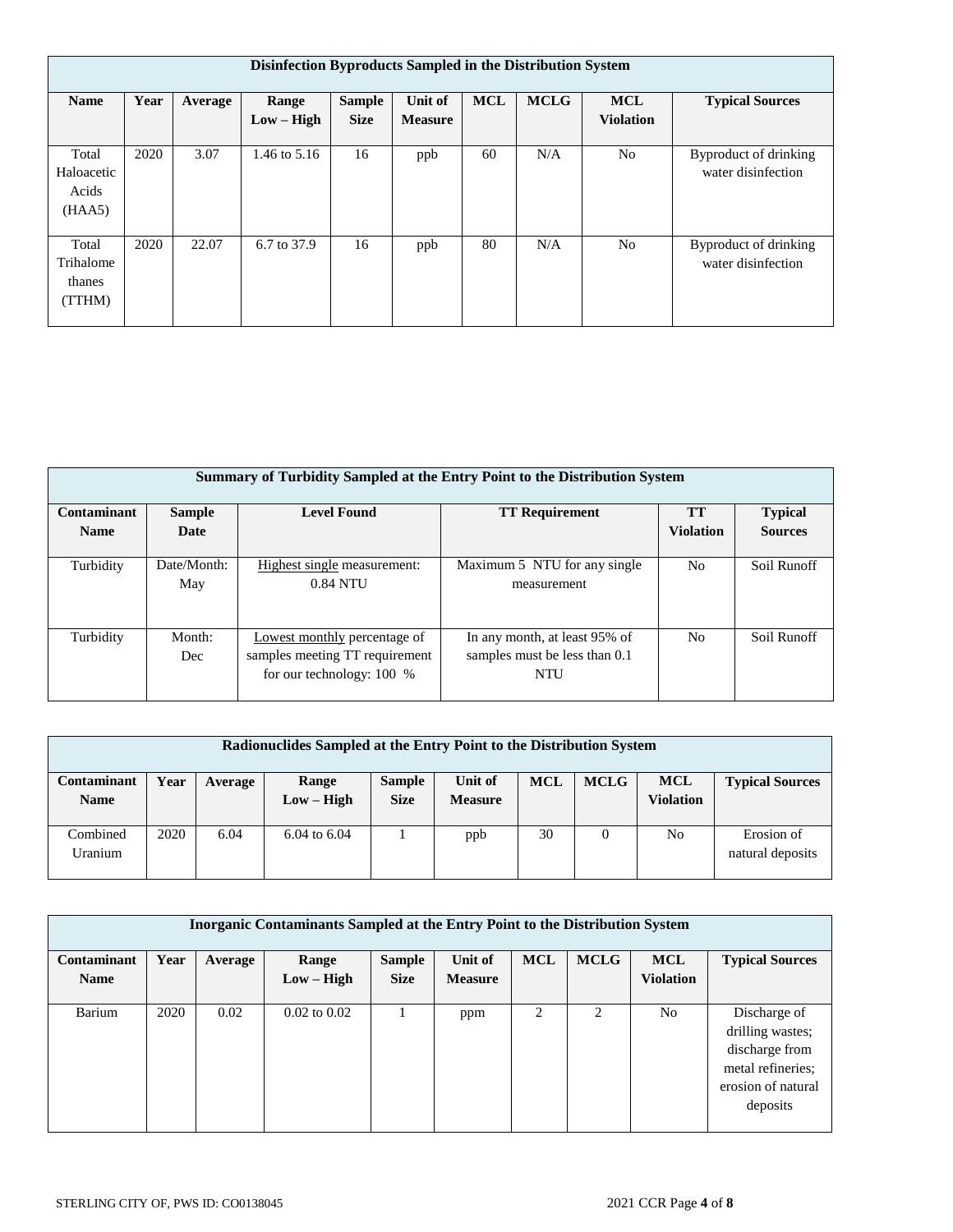|                                        | Disinfection Byproducts Sampled in the Distribution System |         |                       |                              |                           |            |             |                                |                                             |  |  |  |  |
|----------------------------------------|------------------------------------------------------------|---------|-----------------------|------------------------------|---------------------------|------------|-------------|--------------------------------|---------------------------------------------|--|--|--|--|
| <b>Name</b>                            | Year                                                       | Average | Range<br>$Low - High$ | <b>Sample</b><br><b>Size</b> | Unit of<br><b>Measure</b> | <b>MCL</b> | <b>MCLG</b> | <b>MCL</b><br><b>Violation</b> | <b>Typical Sources</b>                      |  |  |  |  |
| Total<br>Haloacetic<br>Acids<br>(HAA5) | 2020                                                       | 3.07    | 1.46 to 5.16          | 16                           | ppb                       | 60         | N/A         | N <sub>o</sub>                 | Byproduct of drinking<br>water disinfection |  |  |  |  |
| Total<br>Trihalome<br>thanes<br>(TTHM) | 2020                                                       | 22.07   | 6.7 to 37.9           | 16                           | ppb                       | 80         | N/A         | N <sub>o</sub>                 | Byproduct of drinking<br>water disinfection |  |  |  |  |

|                    | Summary of Turbidity Sampled at the Entry Point to the Distribution System |                                                                                             |                                                                       |                  |                |  |  |  |  |  |  |
|--------------------|----------------------------------------------------------------------------|---------------------------------------------------------------------------------------------|-----------------------------------------------------------------------|------------------|----------------|--|--|--|--|--|--|
| <b>Contaminant</b> | <b>Sample</b>                                                              | <b>Level Found</b>                                                                          | <b>TT Requirement</b>                                                 | <b>TT</b>        | <b>Typical</b> |  |  |  |  |  |  |
| <b>Name</b>        | Date                                                                       |                                                                                             |                                                                       | <b>Violation</b> | <b>Sources</b> |  |  |  |  |  |  |
| Turbidity          | Date/Month:<br>May                                                         | Highest single measurement:<br>0.84 NTU                                                     | Maximum 5 NTU for any single<br>measurement                           | N <sub>0</sub>   | Soil Runoff    |  |  |  |  |  |  |
| Turbidity          | Month:<br>Dec                                                              | Lowest monthly percentage of<br>samples meeting TT requirement<br>for our technology: 100 % | In any month, at least 95% of<br>samples must be less than 0.1<br>NTU | No.              | Soil Runoff    |  |  |  |  |  |  |

| Radionuclides Sampled at the Entry Point to the Distribution System |      |         |                         |                              |                           |            |             |                                |                                |
|---------------------------------------------------------------------|------|---------|-------------------------|------------------------------|---------------------------|------------|-------------|--------------------------------|--------------------------------|
| Contaminant<br><b>Name</b>                                          | Year | Average | Range<br>$Low - High$   | <b>Sample</b><br><b>Size</b> | Unit of<br><b>Measure</b> | <b>MCL</b> | <b>MCLG</b> | <b>MCL</b><br><b>Violation</b> | <b>Typical Sources</b>         |
| Combined<br>Uranium                                                 | 2020 | 6.04    | $6.04 \text{ to } 6.04$ |                              | ppb                       | 30         |             | N <sub>0</sub>                 | Erosion of<br>natural deposits |

| <b>Inorganic Contaminants Sampled at the Entry Point to the Distribution System</b> |      |         |                  |               |                |            |             |                  |                        |  |
|-------------------------------------------------------------------------------------|------|---------|------------------|---------------|----------------|------------|-------------|------------------|------------------------|--|
| Contaminant                                                                         | Year | Average | <b>Range</b>     | <b>Sample</b> | Unit of        | <b>MCL</b> | <b>MCLG</b> | <b>MCL</b>       | <b>Typical Sources</b> |  |
| <b>Name</b>                                                                         |      |         | $Low - High$     | <b>Size</b>   | <b>Measure</b> |            |             | <b>Violation</b> |                        |  |
|                                                                                     |      |         |                  |               |                |            |             |                  |                        |  |
| Barium                                                                              | 2020 | 0.02    | $0.02$ to $0.02$ |               | ppm            | 2          | 2           | N <sub>o</sub>   | Discharge of           |  |
|                                                                                     |      |         |                  |               |                |            |             |                  | drilling wastes;       |  |
|                                                                                     |      |         |                  |               |                |            |             |                  | discharge from         |  |
|                                                                                     |      |         |                  |               |                |            |             |                  | metal refineries;      |  |
|                                                                                     |      |         |                  |               |                |            |             |                  | erosion of natural     |  |
|                                                                                     |      |         |                  |               |                |            |             |                  | deposits               |  |
|                                                                                     |      |         |                  |               |                |            |             |                  |                        |  |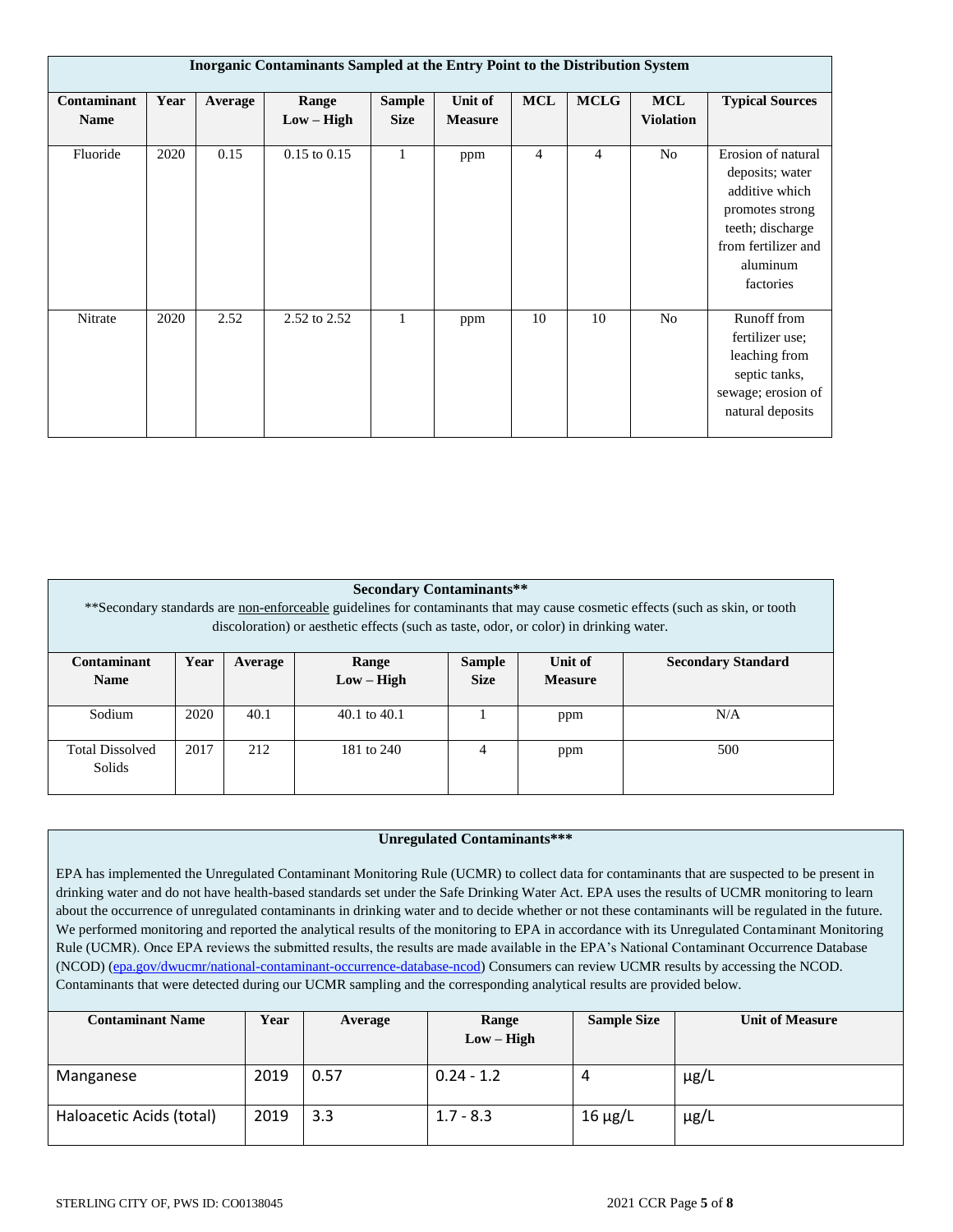|                            | <b>Inorganic Contaminants Sampled at the Entry Point to the Distribution System</b> |         |                       |                              |                           |                |                |                                |                                                                                                                                                |  |  |  |
|----------------------------|-------------------------------------------------------------------------------------|---------|-----------------------|------------------------------|---------------------------|----------------|----------------|--------------------------------|------------------------------------------------------------------------------------------------------------------------------------------------|--|--|--|
| Contaminant<br><b>Name</b> | Year                                                                                | Average | Range<br>$Low - High$ | <b>Sample</b><br><b>Size</b> | Unit of<br><b>Measure</b> | <b>MCL</b>     | <b>MCLG</b>    | <b>MCL</b><br><b>Violation</b> | <b>Typical Sources</b>                                                                                                                         |  |  |  |
| Fluoride                   | 2020                                                                                | 0.15    | $0.15$ to $0.15$      | $\mathbf{1}$                 | ppm                       | $\overline{4}$ | $\overline{4}$ | N <sub>o</sub>                 | Erosion of natural<br>deposits; water<br>additive which<br>promotes strong<br>teeth; discharge<br>from fertilizer and<br>aluminum<br>factories |  |  |  |
| Nitrate                    | 2020                                                                                | 2.52    | 2.52 to 2.52          | -1                           | ppm                       | 10             | 10             | N <sub>o</sub>                 | Runoff from<br>fertilizer use:<br>leaching from<br>septic tanks,<br>sewage; erosion of<br>natural deposits                                     |  |  |  |

| <b>Secondary Contaminants**</b><br>**Secondary standards are non-enforceable guidelines for contaminants that may cause cosmetic effects (such as skin, or tooth<br>discoloration) or aesthetic effects (such as taste, odor, or color) in drinking water. |                                              |         |                       |                              |                           |                           |  |  |  |
|------------------------------------------------------------------------------------------------------------------------------------------------------------------------------------------------------------------------------------------------------------|----------------------------------------------|---------|-----------------------|------------------------------|---------------------------|---------------------------|--|--|--|
| Contaminant<br><b>Name</b>                                                                                                                                                                                                                                 | Year                                         | Average | Range<br>$Low - High$ | <b>Sample</b><br><b>Size</b> | Unit of<br><b>Measure</b> | <b>Secondary Standard</b> |  |  |  |
| Sodium                                                                                                                                                                                                                                                     | 2020                                         | 40.1    | $40.1$ to $40.1$      |                              | ppm                       | N/A                       |  |  |  |
| <b>Total Dissolved</b><br>Solids                                                                                                                                                                                                                           | 2017<br>212<br>500<br>181 to 240<br>4<br>ppm |         |                       |                              |                           |                           |  |  |  |

## **Unregulated Contaminants\*\*\***

EPA has implemented the Unregulated Contaminant Monitoring Rule (UCMR) to collect data for contaminants that are suspected to be present in drinking water and do not have health-based standards set under the Safe Drinking Water Act. EPA uses the results of UCMR monitoring to learn about the occurrence of unregulated contaminants in drinking water and to decide whether or not these contaminants will be regulated in the future. We performed monitoring and reported the analytical results of the monitoring to EPA in accordance with its Unregulated Contaminant Monitoring Rule (UCMR). Once EPA reviews the submitted results, the results are made available in the EPA's National Contaminant Occurrence Database (NCOD) [\(epa.gov/dwucmr/national-contaminant-occurrence-database-ncod\)](http://www.epa.gov/dwucmr/national-contaminant-occurrence-database-ncod) Consumers can review UCMR results by accessing the NCOD. Contaminants that were detected during our UCMR sampling and the corresponding analytical results are provided below.

| <b>Contaminant Name</b>  | Year | Average | Range<br>$Low - High$ | <b>Sample Size</b> | <b>Unit of Measure</b> |
|--------------------------|------|---------|-----------------------|--------------------|------------------------|
|                          |      |         |                       |                    |                        |
| Manganese                | 2019 | 0.57    | $0.24 - 1.2$          |                    | $\mu$ g/L              |
| Haloacetic Acids (total) | 2019 | 3.3     | $1.7 - 8.3$           | $16 \mu g/L$       | $\mu$ g/L              |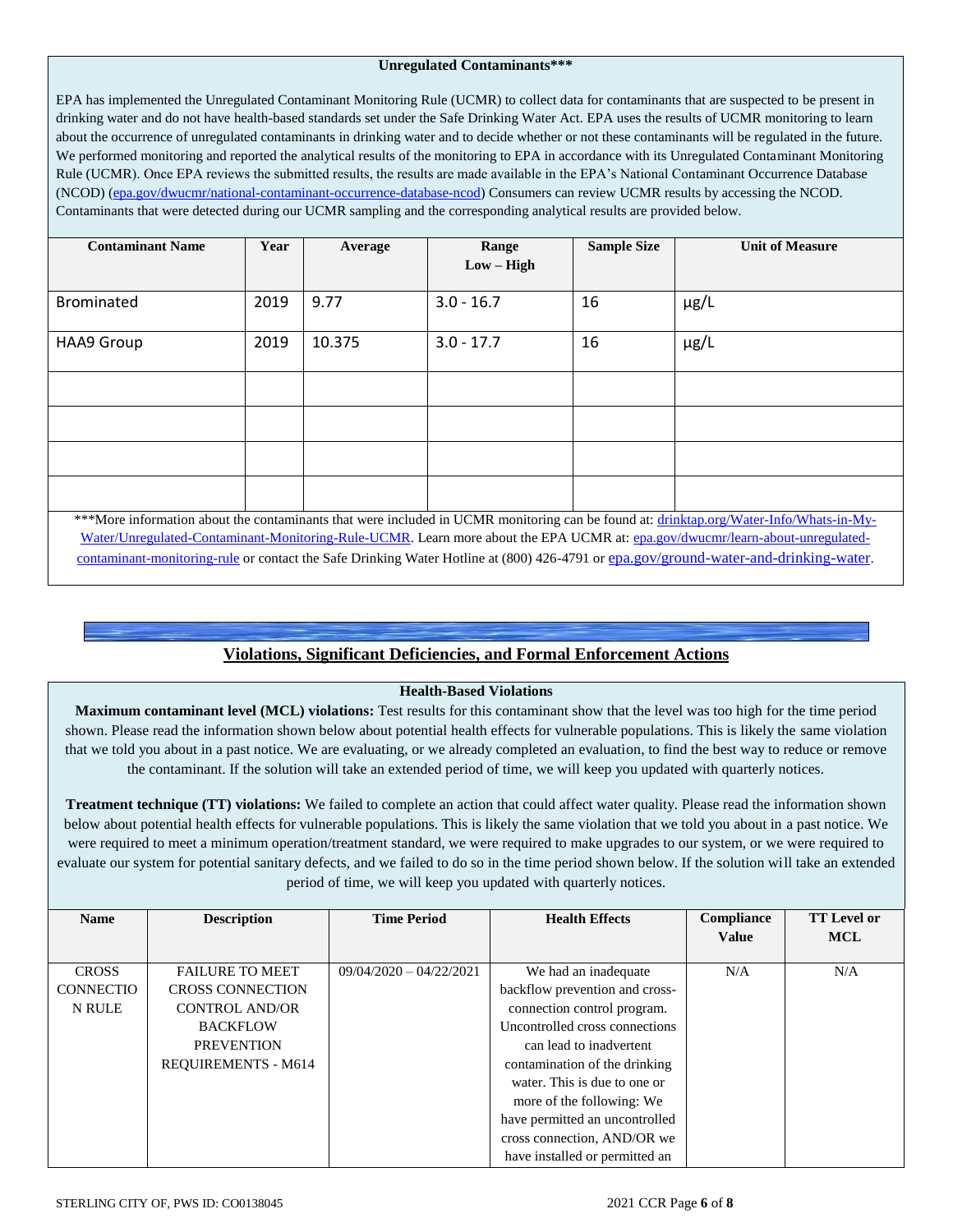#### **Unregulated Contaminants\*\*\***

EPA has implemented the Unregulated Contaminant Monitoring Rule (UCMR) to collect data for contaminants that are suspected to be present in drinking water and do not have health-based standards set under the Safe Drinking Water Act. EPA uses the results of UCMR monitoring to learn about the occurrence of unregulated contaminants in drinking water and to decide whether or not these contaminants will be regulated in the future. We performed monitoring and reported the analytical results of the monitoring to EPA in accordance with its Unregulated Contaminant Monitoring Rule (UCMR). Once EPA reviews the submitted results, the results are made available in the EPA's National Contaminant Occurrence Database (NCOD) [\(epa.gov/dwucmr/national-contaminant-occurrence-database-ncod\)](http://www.epa.gov/dwucmr/national-contaminant-occurrence-database-ncod) Consumers can review UCMR results by accessing the NCOD. Contaminants that were detected during our UCMR sampling and the corresponding analytical results are provided below.

| <b>Contaminant Name</b> | Year | Average | Range        | <b>Sample Size</b> | <b>Unit of Measure</b>                                                                                                                 |  |  |  |  |  |
|-------------------------|------|---------|--------------|--------------------|----------------------------------------------------------------------------------------------------------------------------------------|--|--|--|--|--|
|                         |      |         | $Low - High$ |                    |                                                                                                                                        |  |  |  |  |  |
|                         |      |         |              |                    |                                                                                                                                        |  |  |  |  |  |
|                         |      |         |              |                    |                                                                                                                                        |  |  |  |  |  |
| <b>Brominated</b>       | 2019 | 9.77    | $3.0 - 16.7$ | 16                 | $\mu$ g/L                                                                                                                              |  |  |  |  |  |
|                         |      |         |              |                    |                                                                                                                                        |  |  |  |  |  |
|                         |      |         |              |                    |                                                                                                                                        |  |  |  |  |  |
| <b>HAA9 Group</b>       | 2019 | 10.375  | $3.0 - 17.7$ | 16                 | $\mu$ g/L                                                                                                                              |  |  |  |  |  |
|                         |      |         |              |                    |                                                                                                                                        |  |  |  |  |  |
|                         |      |         |              |                    |                                                                                                                                        |  |  |  |  |  |
|                         |      |         |              |                    |                                                                                                                                        |  |  |  |  |  |
|                         |      |         |              |                    |                                                                                                                                        |  |  |  |  |  |
|                         |      |         |              |                    |                                                                                                                                        |  |  |  |  |  |
|                         |      |         |              |                    |                                                                                                                                        |  |  |  |  |  |
|                         |      |         |              |                    |                                                                                                                                        |  |  |  |  |  |
|                         |      |         |              |                    |                                                                                                                                        |  |  |  |  |  |
|                         |      |         |              |                    |                                                                                                                                        |  |  |  |  |  |
|                         |      |         |              |                    |                                                                                                                                        |  |  |  |  |  |
|                         |      |         |              |                    |                                                                                                                                        |  |  |  |  |  |
|                         |      |         |              |                    | ***More information about the contaminants that were included in UCMR monitoring can be found at: drinktap.org/Water-Info/Whats-in-My- |  |  |  |  |  |
|                         |      |         |              |                    | Water/Unregulated-Contaminant-Monitoring-Rule-UCMR. Learn more about the EPA UCMR at: epa.gov/dwucmr/learn-about-unregulated-          |  |  |  |  |  |

[contaminant-monitoring-rule](http://www.epa.gov/dwucmr/learn-about-unregulated-contaminant-monitoring-rule) or contact the Safe Drinking Water Hotline at (800) 426-4791 or [epa.gov/ground-water-and-drinking-water](https://www.epa.gov/ground-water-and-drinking-water).

# **Violations, Significant Deficiencies, and Formal Enforcement Actions**

## **Health-Based Violations**

**Maximum contaminant level (MCL) violations:** Test results for this contaminant show that the level was too high for the time period shown. Please read the information shown below about potential health effects for vulnerable populations. This is likely the same violation that we told you about in a past notice. We are evaluating, or we already completed an evaluation, to find the best way to reduce or remove the contaminant. If the solution will take an extended period of time, we will keep you updated with quarterly notices.

**Treatment technique (TT) violations:** We failed to complete an action that could affect water quality. Please read the information shown below about potential health effects for vulnerable populations. This is likely the same violation that we told you about in a past notice. We were required to meet a minimum operation/treatment standard, we were required to make upgrades to our system, or we were required to evaluate our system for potential sanitary defects, and we failed to do so in the time period shown below. If the solution will take an extended period of time, we will keep you updated with quarterly notices.

| <b>Name</b>      | <b>Description</b>         | <b>Time Period</b>        | <b>Health Effects</b>          | Compliance   | <b>TT</b> Level or |
|------------------|----------------------------|---------------------------|--------------------------------|--------------|--------------------|
|                  |                            |                           |                                | <b>Value</b> | <b>MCL</b>         |
|                  |                            |                           |                                |              |                    |
| <b>CROSS</b>     | <b>FAILURE TO MEET</b>     | $09/04/2020 - 04/22/2021$ | We had an inadequate           | N/A          | N/A                |
| <b>CONNECTIO</b> | <b>CROSS CONNECTION</b>    |                           | backflow prevention and cross- |              |                    |
| N RULE           | <b>CONTROL AND/OR</b>      |                           | connection control program.    |              |                    |
|                  | <b>BACKFLOW</b>            |                           | Uncontrolled cross connections |              |                    |
|                  | <b>PREVENTION</b>          |                           | can lead to inadvertent        |              |                    |
|                  | <b>REQUIREMENTS - M614</b> |                           | contamination of the drinking  |              |                    |
|                  |                            |                           | water. This is due to one or   |              |                    |
|                  |                            |                           | more of the following: We      |              |                    |
|                  |                            |                           | have permitted an uncontrolled |              |                    |
|                  |                            |                           | cross connection, AND/OR we    |              |                    |
|                  |                            |                           | have installed or permitted an |              |                    |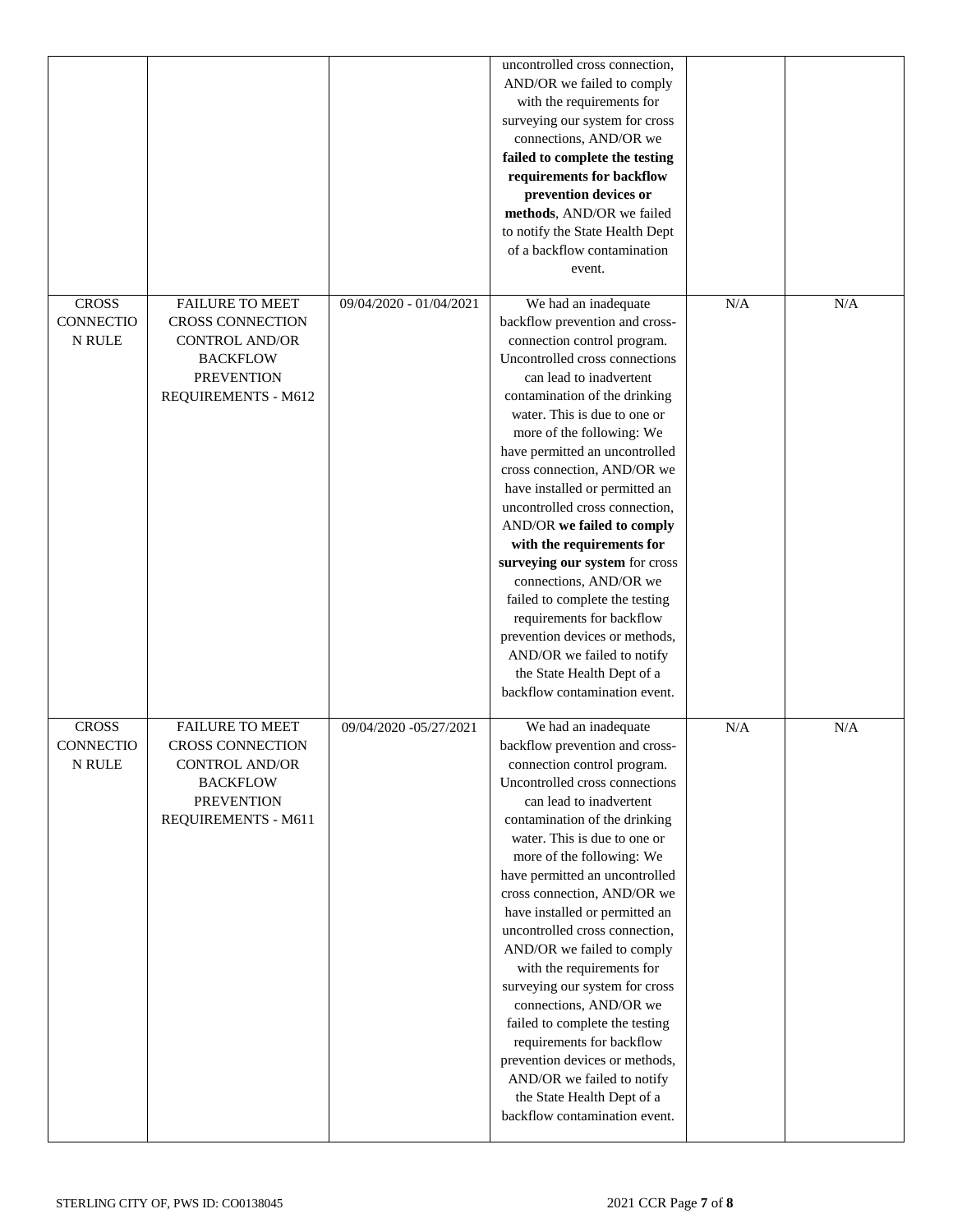|                  |                         |                         | uncontrolled cross connection,  |     |     |
|------------------|-------------------------|-------------------------|---------------------------------|-----|-----|
|                  |                         |                         |                                 |     |     |
|                  |                         |                         | AND/OR we failed to comply      |     |     |
|                  |                         |                         | with the requirements for       |     |     |
|                  |                         |                         | surveying our system for cross  |     |     |
|                  |                         |                         | connections, AND/OR we          |     |     |
|                  |                         |                         | failed to complete the testing  |     |     |
|                  |                         |                         | requirements for backflow       |     |     |
|                  |                         |                         | prevention devices or           |     |     |
|                  |                         |                         | methods, AND/OR we failed       |     |     |
|                  |                         |                         | to notify the State Health Dept |     |     |
|                  |                         |                         | of a backflow contamination     |     |     |
|                  |                         |                         | event.                          |     |     |
|                  |                         |                         |                                 |     |     |
| <b>CROSS</b>     | <b>FAILURE TO MEET</b>  | 09/04/2020 - 01/04/2021 | We had an inadequate            | N/A | N/A |
| <b>CONNECTIO</b> | CROSS CONNECTION        |                         | backflow prevention and cross-  |     |     |
| <b>N RULE</b>    | <b>CONTROL AND/OR</b>   |                         | connection control program.     |     |     |
|                  | <b>BACKFLOW</b>         |                         | Uncontrolled cross connections  |     |     |
|                  | <b>PREVENTION</b>       |                         | can lead to inadvertent         |     |     |
|                  | REQUIREMENTS - M612     |                         | contamination of the drinking   |     |     |
|                  |                         |                         | water. This is due to one or    |     |     |
|                  |                         |                         | more of the following: We       |     |     |
|                  |                         |                         | have permitted an uncontrolled  |     |     |
|                  |                         |                         | cross connection, AND/OR we     |     |     |
|                  |                         |                         | have installed or permitted an  |     |     |
|                  |                         |                         | uncontrolled cross connection,  |     |     |
|                  |                         |                         | AND/OR we failed to comply      |     |     |
|                  |                         |                         | with the requirements for       |     |     |
|                  |                         |                         | surveying our system for cross  |     |     |
|                  |                         |                         | connections, AND/OR we          |     |     |
|                  |                         |                         | failed to complete the testing  |     |     |
|                  |                         |                         | requirements for backflow       |     |     |
|                  |                         |                         | prevention devices or methods,  |     |     |
|                  |                         |                         | AND/OR we failed to notify      |     |     |
|                  |                         |                         | the State Health Dept of a      |     |     |
|                  |                         |                         | backflow contamination event.   |     |     |
|                  |                         |                         |                                 |     |     |
| <b>CROSS</b>     | <b>FAILURE TO MEET</b>  | 09/04/2020 -05/27/2021  | We had an inadequate            | N/A | N/A |
| <b>CONNECTIO</b> | <b>CROSS CONNECTION</b> |                         | backflow prevention and cross-  |     |     |
| N RULE           | CONTROL AND/OR          |                         | connection control program.     |     |     |
|                  | <b>BACKFLOW</b>         |                         | Uncontrolled cross connections  |     |     |
|                  | <b>PREVENTION</b>       |                         | can lead to inadvertent         |     |     |
|                  | REQUIREMENTS - M611     |                         | contamination of the drinking   |     |     |
|                  |                         |                         | water. This is due to one or    |     |     |
|                  |                         |                         | more of the following: We       |     |     |
|                  |                         |                         | have permitted an uncontrolled  |     |     |
|                  |                         |                         | cross connection, AND/OR we     |     |     |
|                  |                         |                         | have installed or permitted an  |     |     |
|                  |                         |                         | uncontrolled cross connection,  |     |     |
|                  |                         |                         | AND/OR we failed to comply      |     |     |
|                  |                         |                         | with the requirements for       |     |     |
|                  |                         |                         | surveying our system for cross  |     |     |
|                  |                         |                         | connections, AND/OR we          |     |     |
|                  |                         |                         | failed to complete the testing  |     |     |
|                  |                         |                         | requirements for backflow       |     |     |
|                  |                         |                         | prevention devices or methods,  |     |     |
|                  |                         |                         | AND/OR we failed to notify      |     |     |
|                  |                         |                         | the State Health Dept of a      |     |     |
|                  |                         |                         | backflow contamination event.   |     |     |
|                  |                         |                         |                                 |     |     |